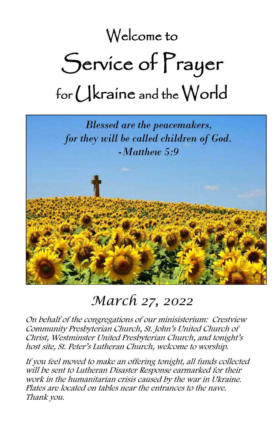# Welcome to Service of Prayer for Ukraine and the World



## *March 27, 2022*

On behalf of the congregations of our minisisterium: Crestview Community Presbyterian Church, St. John's United Church of Christ, Westminster United Presbyterian Church, and tonight's host site, St. Peter's Lutheran Church, welcome to worship.

If you feel moved to make an offering tonight, all funds collected will be sent to Lutheran Disaster Response earmarked for their work in the humanitarian crisis caused by the war in Ukraine. Plates are located on tables near the entrances to the nave. Thank you.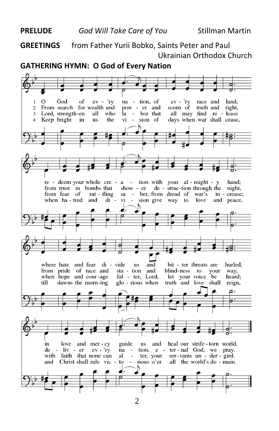**GREETINGS** from Father Yurii Bobko, Saints Peter and Paul Ukrainian Orthodox Church

#### **GATHERING HYMN: O God of Every Nation**



2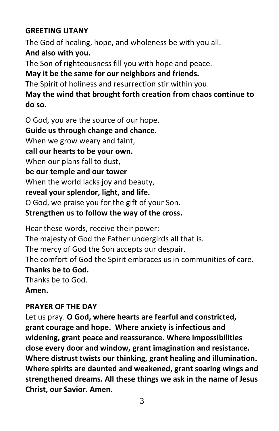#### **GREETING LITANY**

The God of healing, hope, and wholeness be with you all. **And also with you.**

The Son of righteousness fill you with hope and peace.

### **May it be the same for our neighbors and friends.**

The Spirit of holiness and resurrection stir within you.

#### **May the wind that brought forth creation from chaos continue to do so.**

O God, you are the source of our hope. **Guide us through change and chance.** When we grow weary and faint, **call our hearts to be your own.** When our plans fall to dust, **be our temple and our tower** When the world lacks joy and beauty, **reveal your splendor, light, and life.** O God, we praise you for the gift of your Son.

### **Strengthen us to follow the way of the cross.**

Hear these words, receive their power: The majesty of God the Father undergirds all that is. The mercy of God the Son accepts our despair. The comfort of God the Spirit embraces us in communities of care. **Thanks be to God.**  Thanks be to God. **Amen.**

### **PRAYER OF THE DAY**

Let us pray. **O God, where hearts are fearful and constricted, grant courage and hope. Where anxiety is infectious and widening, grant peace and reassurance. Where impossibilities close every door and window, grant imagination and resistance. Where distrust twists our thinking, grant healing and illumination. Where spirits are daunted and weakened, grant soaring wings and strengthened dreams. All these things we ask in the name of Jesus Christ, our Savior. Amen.**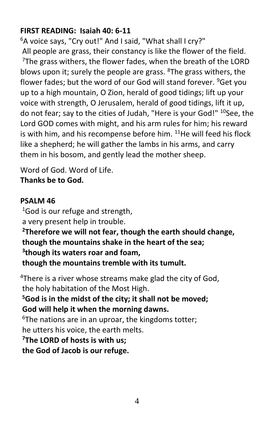#### **FIRST READING: Isaiah 40: 6-11**

<sup>6</sup>A voice says, "Cry out!" And I said, "What shall I cry?" All people are grass, their constancy is like the flower of the field.  $7$ The grass withers, the flower fades, when the breath of the LORD blows upon it; surely the people are grass.  $8$ The grass withers, the flower fades; but the word of our God will stand forever. <sup>9</sup>Get you up to a high mountain, O Zion, herald of good tidings; lift up your voice with strength, O Jerusalem, herald of good tidings, lift it up, do not fear; say to the cities of Judah, "Here is your God!" <sup>10</sup>See, the Lord GOD comes with might, and his arm rules for him; his reward is with him, and his recompense before him.  $11$ He will feed his flock like a shepherd; he will gather the lambs in his arms, and carry them in his bosom, and gently lead the mother sheep.

Word of God. Word of Life. **Thanks be to God.**

#### **PSALM 46**

 $1$ God is our refuge and strength, a very present help in trouble. **<sup>2</sup>Therefore we will not fear, though the earth should change, though the mountains shake in the heart of the sea; 3 though its waters roar and foam, though the mountains tremble with its tumult.**

<sup>4</sup>There is a river whose streams make glad the city of God, the holy habitation of the Most High. **<sup>5</sup>God is in the midst of the city; it shall not be moved; God will help it when the morning dawns.** <sup>6</sup>The nations are in an uproar, the kingdoms totter; he utters his voice, the earth melts. **<sup>7</sup>The LORD of hosts is with us; the God of Jacob is our refuge.**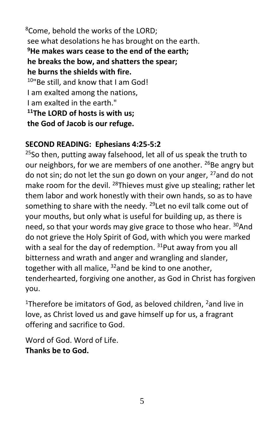<sup>8</sup>Come, behold the works of the LORD; see what desolations he has brought on the earth. **<sup>9</sup>He makes wars cease to the end of the earth; he breaks the bow, and shatters the spear; he burns the shields with fire.** <sup>10"</sup>Be still, and know that I am God! I am exalted among the nations, I am exalted in the earth." **<sup>11</sup>The LORD of hosts is with us; the God of Jacob is our refuge.**

#### **SECOND READING: Ephesians 4:25-5:2**

 $25$ So then, putting away falsehood, let all of us speak the truth to our neighbors, for we are members of one another. <sup>26</sup>Be angry but do not sin; do not let the sun go down on your anger,  $27$  and do not make room for the devil. <sup>28</sup>Thieves must give up stealing; rather let them labor and work honestly with their own hands, so as to have something to share with the needy. <sup>29</sup> Let no evil talk come out of your mouths, but only what is useful for building up, as there is need, so that your words may give grace to those who hear. <sup>30</sup>And do not grieve the Holy Spirit of God, with which you were marked with a seal for the day of redemption.  $31$ Put away from you all bitterness and wrath and anger and wrangling and slander, together with all malice,  $32$  and be kind to one another, tenderhearted, forgiving one another, as God in Christ has forgiven you.

<sup>1</sup>Therefore be imitators of God, as beloved children,  $2$  and live in love, as Christ loved us and gave himself up for us, a fragrant offering and sacrifice to God.

Word of God. Word of Life. **Thanks be to God.**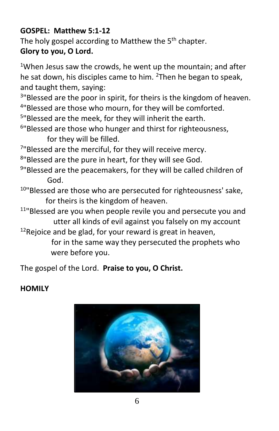#### **GOSPEL: Matthew 5:1-12**

The holy gospel according to Matthew the 5<sup>th</sup> chapter. **Glory to you, O Lord.**

<sup>1</sup>When Jesus saw the crowds, he went up the mountain; and after he sat down, his disciples came to him.  $2$ Then he began to speak, and taught them, saying:

<sup>3</sup>"Blessed are the poor in spirit, for theirs is the kingdom of heaven. <sup>4</sup>"Blessed are those who mourn, for they will be comforted.

<sup>5</sup>"Blessed are the meek, for they will inherit the earth.

6 "Blessed are those who hunger and thirst for righteousness, for they will be filled.

<sup>7</sup>"Blessed are the merciful, for they will receive mercy.

8 "Blessed are the pure in heart, for they will see God.

<sup>9"</sup>Blessed are the peacemakers, for they will be called children of God.

 $10$ "Blessed are those who are persecuted for righteousness' sake, for theirs is the kingdom of heaven.

<sup>11</sup>"Blessed are you when people revile you and persecute you and utter all kinds of evil against you falsely on my account  $12$ Rejoice and be glad, for your reward is great in heaven,

for in the same way they persecuted the prophets who

were before you.

The gospel of the Lord. **Praise to you, O Christ.**

#### **HOMILY**

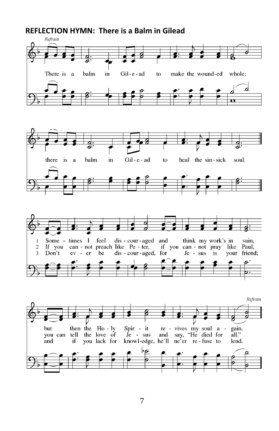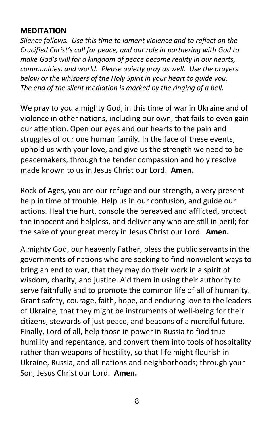#### **MEDITATION**

*Silence follows. Use this time to lament violence and to reflect on the Crucified Christ's call for peace, and our role in partnering with God to make God's will for a kingdom of peace become reality in our hearts, communities, and world. Please quietly pray as well. Use the prayers below or the whispers of the Holy Spirit in your heart to guide you. The end of the silent mediation is marked by the ringing of a bell.*

We pray to you almighty God, in this time of war in Ukraine and of violence in other nations, including our own, that fails to even gain our attention. Open our eyes and our hearts to the pain and struggles of our one human family. In the face of these events, uphold us with your love, and give us the strength we need to be peacemakers, through the tender compassion and holy resolve made known to us in Jesus Christ our Lord. **Amen.**

Rock of Ages, you are our refuge and our strength, a very present help in time of trouble. Help us in our confusion, and guide our actions. Heal the hurt, console the bereaved and afflicted, protect the innocent and helpless, and deliver any who are still in peril; for the sake of your great mercy in Jesus Christ our Lord. **Amen.**

Almighty God, our heavenly Father, bless the public servants in the governments of nations who are seeking to find nonviolent ways to bring an end to war, that they may do their work in a spirit of wisdom, charity, and justice. Aid them in using their authority to serve faithfully and to promote the common life of all of humanity. Grant safety, courage, faith, hope, and enduring love to the leaders of Ukraine, that they might be instruments of well-being for their citizens, stewards of just peace, and beacons of a merciful future. Finally, Lord of all, help those in power in Russia to find true humility and repentance, and convert them into tools of hospitality rather than weapons of hostility, so that life might flourish in Ukraine, Russia, and all nations and neighborhoods; through your Son, Jesus Christ our Lord. **Amen.**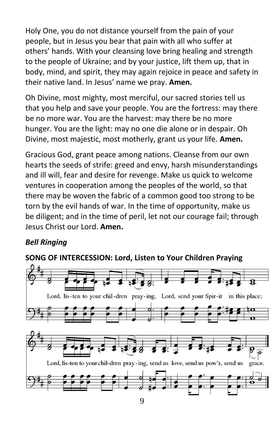Holy One, you do not distance yourself from the pain of your people, but in Jesus you bear that pain with all who suffer at others' hands. With your cleansing love bring healing and strength to the people of Ukraine; and by your justice, lift them up, that in body, mind, and spirit, they may again rejoice in peace and safety in their native land. In Jesus' name we pray. **Amen.**

Oh Divine, most mighty, most merciful, our sacred stories tell us that you help and save your people. You are the fortress: may there be no more war. You are the harvest: may there be no more hunger. You are the light: may no one die alone or in despair. Oh Divine, most majestic, most motherly, grant us your life. **Amen.**

Gracious God, grant peace among nations. Cleanse from our own hearts the seeds of strife: greed and envy, harsh misunderstandings and ill will, fear and desire for revenge. Make us quick to welcome ventures in cooperation among the peoples of the world, so that there may be woven the fabric of a common good too strong to be torn by the evil hands of war. In the time of opportunity, make us be diligent; and in the time of peril, let not our courage fail; through Jesus Christ our Lord. **Amen.**

### *Bell Ringing*

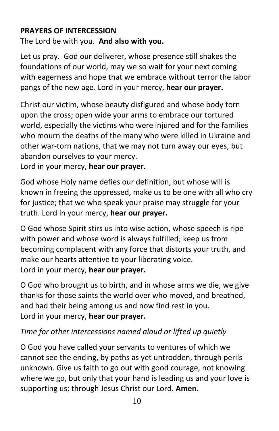#### **PRAYERS OF INTERCESSION**

The Lord be with you. **And also with you.**

Let us pray. God our deliverer, whose presence still shakes the foundations of our world, may we so wait for your next coming with eagerness and hope that we embrace without terror the labor pangs of the new age. Lord in your mercy, **hear our prayer.**

Christ our victim, whose beauty disfigured and whose body torn upon the cross; open wide your arms to embrace our tortured world, especially the victims who were injured and for the families who mourn the deaths of the many who were killed in Ukraine and other war-torn nations, that we may not turn away our eyes, but abandon ourselves to your mercy.

Lord in your mercy, **hear our prayer.**

God whose Holy name defies our definition, but whose will is known in freeing the oppressed, make us to be one with all who cry for justice; that we who speak your praise may struggle for your truth. Lord in your mercy, **hear our prayer.**

O God whose Spirit stirs us into wise action, whose speech is ripe with power and whose word is always fulfilled; keep us from becoming complacent with any force that distorts your truth, and make our hearts attentive to your liberating voice. Lord in your mercy, **hear our prayer.**

O God who brought us to birth, and in whose arms we die, we give thanks for those saints the world over who moved, and breathed, and had their being among us and now find rest in you. Lord in your mercy, **hear our prayer.**

#### *Time for other intercessions named aloud or lifted up quietly*

O God you have called your servants to ventures of which we cannot see the ending, by paths as yet untrodden, through perils unknown. Give us faith to go out with good courage, not knowing where we go, but only that your hand is leading us and your love is supporting us; through Jesus Christ our Lord. **Amen.**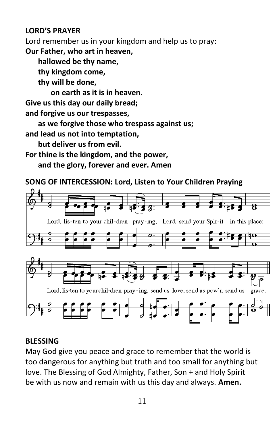#### **LORD'S PRAYER**

Lord remember us in your kingdom and help us to pray: **Our Father, who art in heaven,** 

**hallowed be thy name,** 

**thy kingdom come,** 

**thy will be done,** 

**on earth as it is in heaven.**

**Give us this day our daily bread;** 

**and forgive us our trespasses,** 

**as we forgive those who trespass against us;**

**and lead us not into temptation,** 

**but deliver us from evil.**

**For thine is the kingdom, and the power, and the glory, forever and ever. Amen**

#### **SONG OF INTERCESSION: Lord, Listen to Your Children Praying**



#### **BLESSING**

May God give you peace and grace to remember that the world is too dangerous for anything but truth and too small for anything but love. The Blessing of God Almighty, Father, Son + and Holy Spirit be with us now and remain with us this day and always. **Amen.**